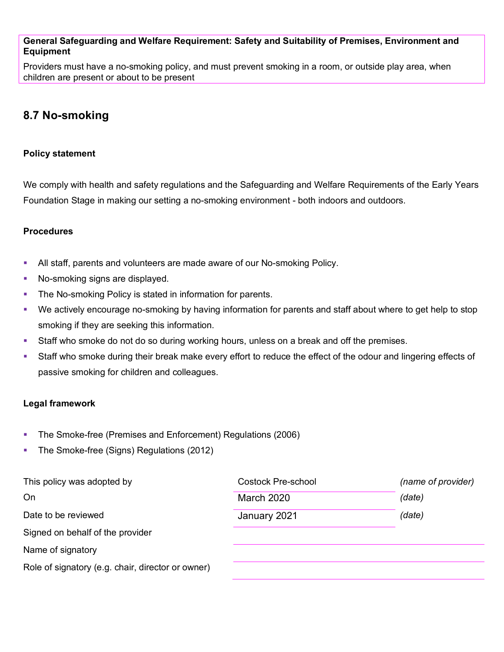## **General Safeguarding and Welfare Requirement: Safety and Suitability of Premises, Environment and Equipment**

Providers must have a no-smoking policy, and must prevent smoking in a room, or outside play area, when children are present or about to be present

# **8.7 No-smoking**

## **Policy statement**

We comply with health and safety regulations and the Safeguarding and Welfare Requirements of the Early Years Foundation Stage in making our setting a no-smoking environment - both indoors and outdoors.

#### **Procedures**

- All staff, parents and volunteers are made aware of our No-smoking Policy.
- No-smoking signs are displayed.
- **The No-smoking Policy is stated in information for parents.**
- We actively encourage no-smoking by having information for parents and staff about where to get help to stop smoking if they are seeking this information.
- Staff who smoke do not do so during working hours, unless on a break and off the premises.
- Staff who smoke during their break make every effort to reduce the effect of the odour and lingering effects of passive smoking for children and colleagues.

## **Legal framework**

- **The Smoke-free (Premises and Enforcement) Regulations (2006)**
- The Smoke-free (Signs) Regulations (2012)

| This policy was adopted by                        | Costock Pre-school | (name of provider) |
|---------------------------------------------------|--------------------|--------------------|
| On                                                | <b>March 2020</b>  | (date)             |
| Date to be reviewed                               | January 2021       | (date)             |
| Signed on behalf of the provider                  |                    |                    |
| Name of signatory                                 |                    |                    |
| Role of signatory (e.g. chair, director or owner) |                    |                    |